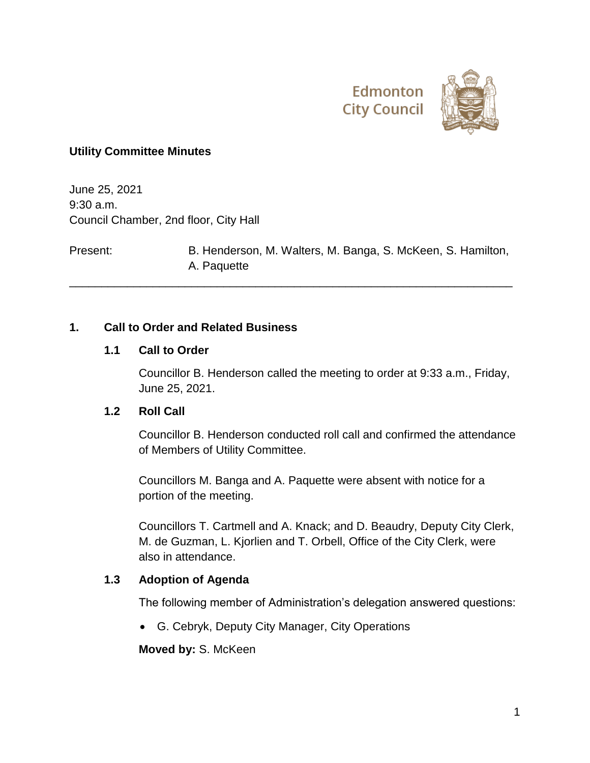



#### **Utility Committee Minutes**

June 25, 2021 9:30 a.m. Council Chamber, 2nd floor, City Hall

Present: B. Henderson, M. Walters, M. Banga, S. McKeen, S. Hamilton, A. Paquette

\_\_\_\_\_\_\_\_\_\_\_\_\_\_\_\_\_\_\_\_\_\_\_\_\_\_\_\_\_\_\_\_\_\_\_\_\_\_\_\_\_\_\_\_\_\_\_\_\_\_\_\_\_\_\_\_\_\_\_\_\_\_\_\_\_\_\_\_\_

#### **1. Call to Order and Related Business**

#### **1.1 Call to Order**

Councillor B. Henderson called the meeting to order at 9:33 a.m., Friday, June 25, 2021.

#### **1.2 Roll Call**

Councillor B. Henderson conducted roll call and confirmed the attendance of Members of Utility Committee.

Councillors M. Banga and A. Paquette were absent with notice for a portion of the meeting.

Councillors T. Cartmell and A. Knack; and D. Beaudry, Deputy City Clerk, M. de Guzman, L. Kjorlien and T. Orbell, Office of the City Clerk, were also in attendance.

#### **1.3 Adoption of Agenda**

The following member of Administration's delegation answered questions:

G. Cebryk, Deputy City Manager, City Operations

**Moved by:** S. McKeen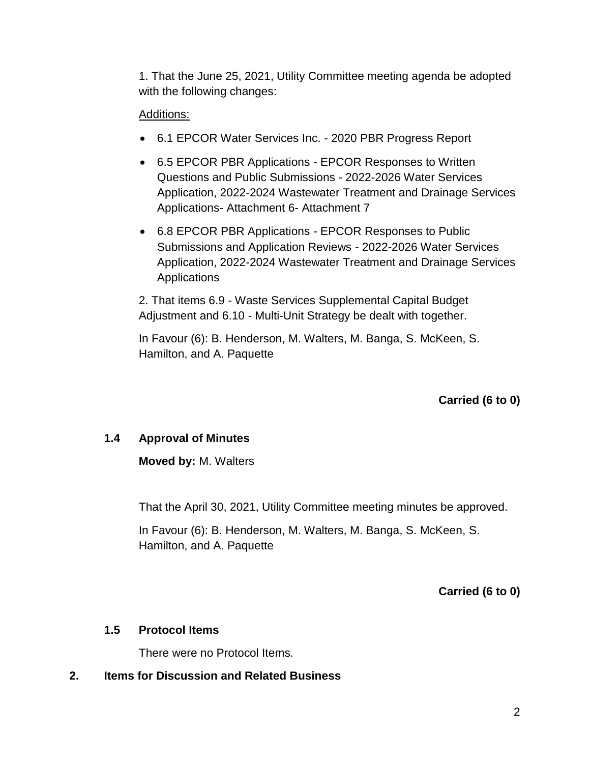1. That the June 25, 2021, Utility Committee meeting agenda be adopted with the following changes:

### Additions:

- 6.1 EPCOR Water Services Inc. 2020 PBR Progress Report
- 6.5 EPCOR PBR Applications EPCOR Responses to Written Questions and Public Submissions - 2022-2026 Water Services Application, 2022-2024 Wastewater Treatment and Drainage Services Applications- Attachment 6- Attachment 7
- 6.8 EPCOR PBR Applications EPCOR Responses to Public Submissions and Application Reviews - 2022-2026 Water Services Application, 2022-2024 Wastewater Treatment and Drainage Services **Applications**

2. That items 6.9 - Waste Services Supplemental Capital Budget Adjustment and 6.10 - Multi-Unit Strategy be dealt with together.

In Favour (6): B. Henderson, M. Walters, M. Banga, S. McKeen, S. Hamilton, and A. Paquette

**Carried (6 to 0)**

# **1.4 Approval of Minutes**

**Moved by:** M. Walters

That the April 30, 2021, Utility Committee meeting minutes be approved.

In Favour (6): B. Henderson, M. Walters, M. Banga, S. McKeen, S. Hamilton, and A. Paquette

**Carried (6 to 0)**

### **1.5 Protocol Items**

There were no Protocol Items.

**2. Items for Discussion and Related Business**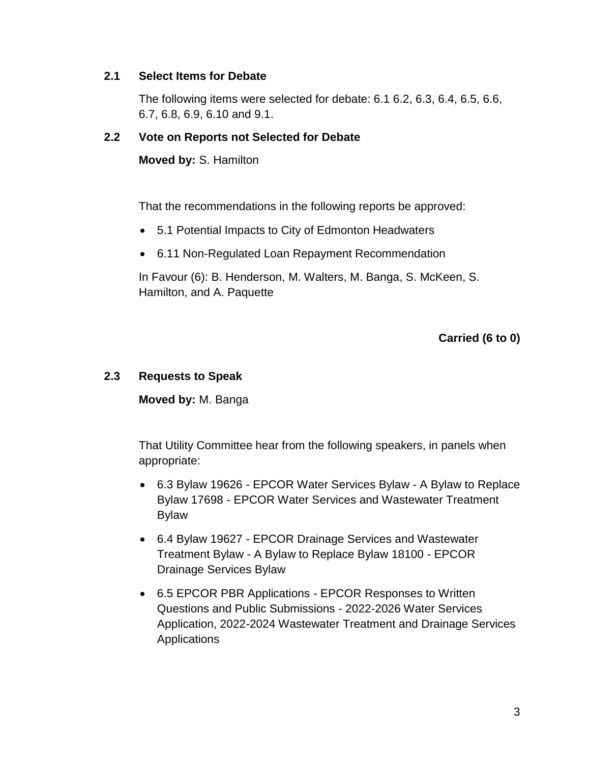#### **2.1 Select Items for Debate**

The following items were selected for debate: 6.1 6.2, 6.3, 6.4, 6.5, 6.6, 6.7, 6.8, 6.9, 6.10 and 9.1.

#### **2.2 Vote on Reports not Selected for Debate**

**Moved by:** S. Hamilton

That the recommendations in the following reports be approved:

- 5.1 Potential Impacts to City of Edmonton Headwaters
- 6.11 Non-Regulated Loan Repayment Recommendation

In Favour (6): B. Henderson, M. Walters, M. Banga, S. McKeen, S. Hamilton, and A. Paquette

**Carried (6 to 0)**

#### **2.3 Requests to Speak**

**Moved by:** M. Banga

That Utility Committee hear from the following speakers, in panels when appropriate:

- 6.3 Bylaw 19626 EPCOR Water Services Bylaw A Bylaw to Replace Bylaw 17698 - EPCOR Water Services and Wastewater Treatment Bylaw
- 6.4 Bylaw 19627 EPCOR Drainage Services and Wastewater Treatment Bylaw - A Bylaw to Replace Bylaw 18100 - EPCOR Drainage Services Bylaw
- 6.5 EPCOR PBR Applications EPCOR Responses to Written Questions and Public Submissions - 2022-2026 Water Services Application, 2022-2024 Wastewater Treatment and Drainage Services Applications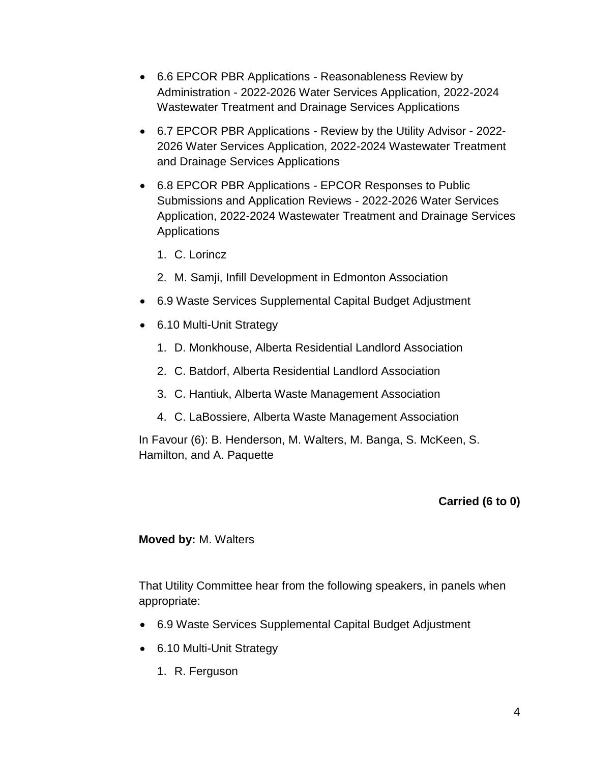- 6.6 EPCOR PBR Applications Reasonableness Review by Administration - 2022-2026 Water Services Application, 2022-2024 Wastewater Treatment and Drainage Services Applications
- 6.7 EPCOR PBR Applications Review by the Utility Advisor 2022- 2026 Water Services Application, 2022-2024 Wastewater Treatment and Drainage Services Applications
- 6.8 EPCOR PBR Applications EPCOR Responses to Public Submissions and Application Reviews - 2022-2026 Water Services Application, 2022-2024 Wastewater Treatment and Drainage Services Applications
	- 1. C. Lorincz
	- 2. M. Samji, Infill Development in Edmonton Association
- 6.9 Waste Services Supplemental Capital Budget Adjustment
- 6.10 Multi-Unit Strategy
	- 1. D. Monkhouse, Alberta Residential Landlord Association
	- 2. C. Batdorf, Alberta Residential Landlord Association
	- 3. C. Hantiuk, Alberta Waste Management Association
	- 4. C. LaBossiere, Alberta Waste Management Association

In Favour (6): B. Henderson, M. Walters, M. Banga, S. McKeen, S. Hamilton, and A. Paquette

### **Carried (6 to 0)**

#### **Moved by:** M. Walters

That Utility Committee hear from the following speakers, in panels when appropriate:

- 6.9 Waste Services Supplemental Capital Budget Adjustment
- 6.10 Multi-Unit Strategy
	- 1. R. Ferguson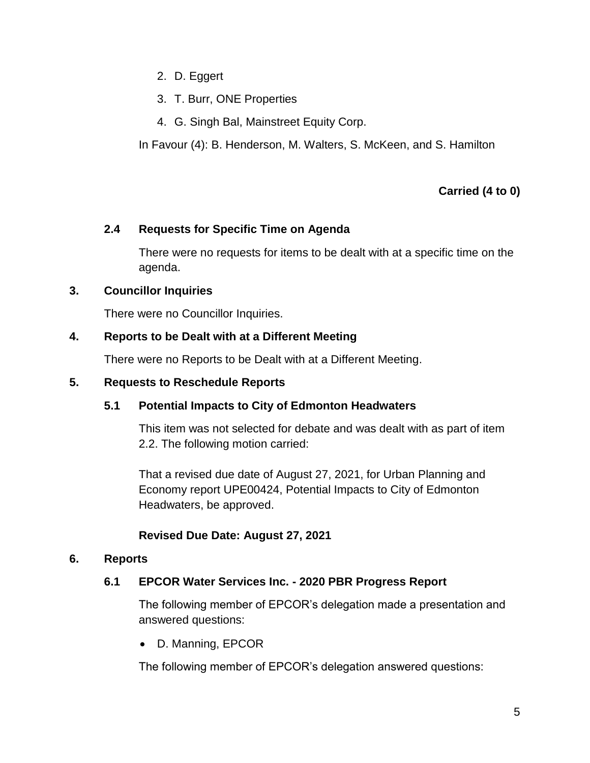- 2. D. Eggert
- 3. T. Burr, ONE Properties
- 4. G. Singh Bal, Mainstreet Equity Corp.

In Favour (4): B. Henderson, M. Walters, S. McKeen, and S. Hamilton

# **Carried (4 to 0)**

## **2.4 Requests for Specific Time on Agenda**

There were no requests for items to be dealt with at a specific time on the agenda.

## **3. Councillor Inquiries**

There were no Councillor Inquiries.

# **4. Reports to be Dealt with at a Different Meeting**

There were no Reports to be Dealt with at a Different Meeting.

### **5. Requests to Reschedule Reports**

# **5.1 Potential Impacts to City of Edmonton Headwaters**

This item was not selected for debate and was dealt with as part of item 2.2. The following motion carried:

That a revised due date of August 27, 2021, for Urban Planning and Economy report UPE00424, Potential Impacts to City of Edmonton Headwaters, be approved.

# **Revised Due Date: August 27, 2021**

# **6. Reports**

# **6.1 EPCOR Water Services Inc. - 2020 PBR Progress Report**

The following member of EPCOR's delegation made a presentation and answered questions:

D. Manning, EPCOR

The following member of EPCOR's delegation answered questions: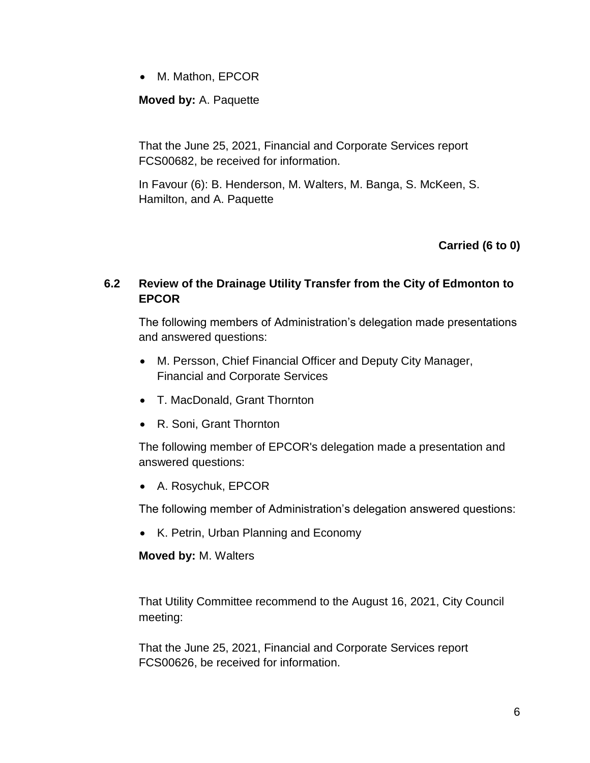• M. Mathon, EPCOR

**Moved by:** A. Paquette

That the June 25, 2021, Financial and Corporate Services report FCS00682, be received for information.

In Favour (6): B. Henderson, M. Walters, M. Banga, S. McKeen, S. Hamilton, and A. Paquette

**Carried (6 to 0)**

## **6.2 Review of the Drainage Utility Transfer from the City of Edmonton to EPCOR**

The following members of Administration's delegation made presentations and answered questions:

- M. Persson, Chief Financial Officer and Deputy City Manager, Financial and Corporate Services
- T. MacDonald, Grant Thornton
- R. Soni, Grant Thornton

The following member of EPCOR's delegation made a presentation and answered questions:

A. Rosychuk, EPCOR

The following member of Administration's delegation answered questions:

• K. Petrin, Urban Planning and Economy

### **Moved by:** M. Walters

That Utility Committee recommend to the August 16, 2021, City Council meeting:

That the June 25, 2021, Financial and Corporate Services report FCS00626, be received for information.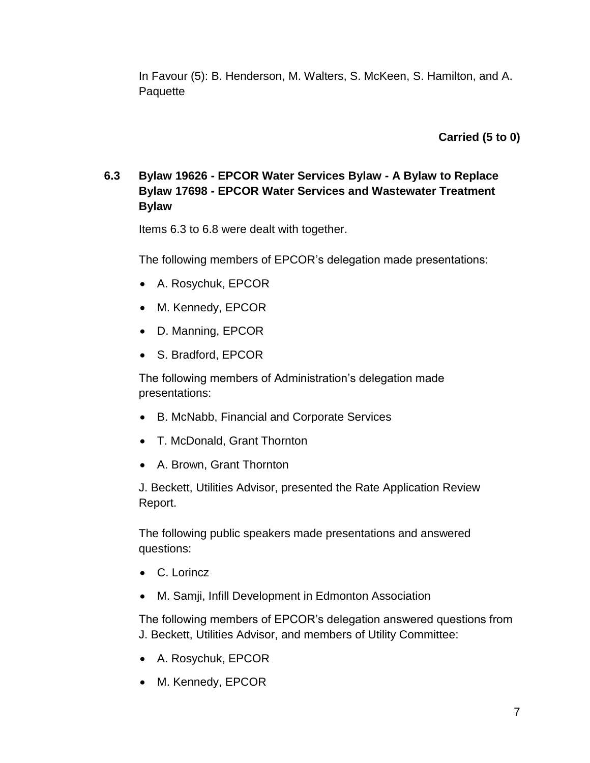In Favour (5): B. Henderson, M. Walters, S. McKeen, S. Hamilton, and A. **Paquette** 

**Carried (5 to 0)**

# **6.3 Bylaw 19626 - EPCOR Water Services Bylaw - A Bylaw to Replace Bylaw 17698 - EPCOR Water Services and Wastewater Treatment Bylaw**

Items 6.3 to 6.8 were dealt with together.

The following members of EPCOR's delegation made presentations:

- A. Rosychuk, EPCOR
- M. Kennedy, EPCOR
- D. Manning, EPCOR
- S. Bradford, EPCOR

The following members of Administration's delegation made presentations:

- B. McNabb, Financial and Corporate Services
- T. McDonald, Grant Thornton
- A. Brown, Grant Thornton

J. Beckett, Utilities Advisor, presented the Rate Application Review Report.

The following public speakers made presentations and answered questions:

- C. Lorincz
- M. Samji, Infill Development in Edmonton Association

The following members of EPCOR's delegation answered questions from J. Beckett, Utilities Advisor, and members of Utility Committee:

- A. Rosychuk, EPCOR
- M. Kennedy, EPCOR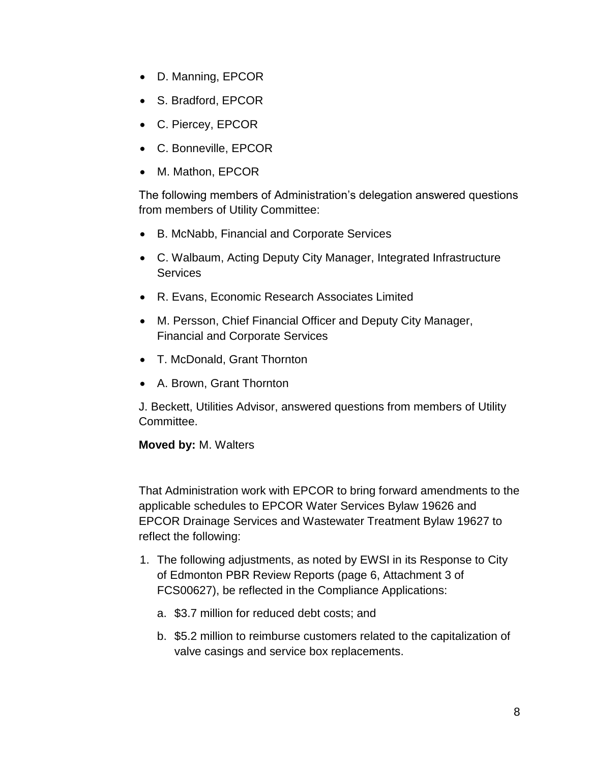- D. Manning, EPCOR
- S. Bradford, EPCOR
- C. Piercey, EPCOR
- C. Bonneville, EPCOR
- M. Mathon, EPCOR

The following members of Administration's delegation answered questions from members of Utility Committee:

- B. McNabb, Financial and Corporate Services
- C. Walbaum, Acting Deputy City Manager, Integrated Infrastructure **Services**
- R. Evans, Economic Research Associates Limited
- M. Persson, Chief Financial Officer and Deputy City Manager, Financial and Corporate Services
- T. McDonald, Grant Thornton
- A. Brown, Grant Thornton

J. Beckett, Utilities Advisor, answered questions from members of Utility Committee.

### **Moved by:** M. Walters

That Administration work with EPCOR to bring forward amendments to the applicable schedules to EPCOR Water Services Bylaw 19626 and EPCOR Drainage Services and Wastewater Treatment Bylaw 19627 to reflect the following:

- 1. The following adjustments, as noted by EWSI in its Response to City of Edmonton PBR Review Reports (page 6, Attachment 3 of FCS00627), be reflected in the Compliance Applications:
	- a. \$3.7 million for reduced debt costs; and
	- b. \$5.2 million to reimburse customers related to the capitalization of valve casings and service box replacements.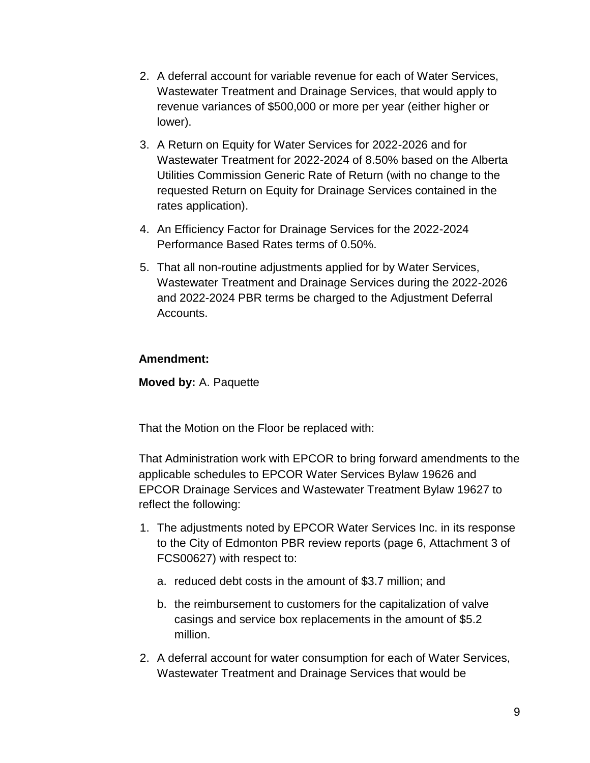- 2. A deferral account for variable revenue for each of Water Services, Wastewater Treatment and Drainage Services, that would apply to revenue variances of \$500,000 or more per year (either higher or lower).
- 3. A Return on Equity for Water Services for 2022-2026 and for Wastewater Treatment for 2022-2024 of 8.50% based on the Alberta Utilities Commission Generic Rate of Return (with no change to the requested Return on Equity for Drainage Services contained in the rates application).
- 4. An Efficiency Factor for Drainage Services for the 2022-2024 Performance Based Rates terms of 0.50%.
- 5. That all non-routine adjustments applied for by Water Services, Wastewater Treatment and Drainage Services during the 2022-2026 and 2022-2024 PBR terms be charged to the Adjustment Deferral Accounts.

## **Amendment:**

**Moved by:** A. Paquette

That the Motion on the Floor be replaced with:

That Administration work with EPCOR to bring forward amendments to the applicable schedules to EPCOR Water Services Bylaw 19626 and EPCOR Drainage Services and Wastewater Treatment Bylaw 19627 to reflect the following:

- 1. The adjustments noted by EPCOR Water Services Inc. in its response to the City of Edmonton PBR review reports (page 6, Attachment 3 of FCS00627) with respect to:
	- a. reduced debt costs in the amount of \$3.7 million; and
	- b. the reimbursement to customers for the capitalization of valve casings and service box replacements in the amount of \$5.2 million.
- 2. A deferral account for water consumption for each of Water Services, Wastewater Treatment and Drainage Services that would be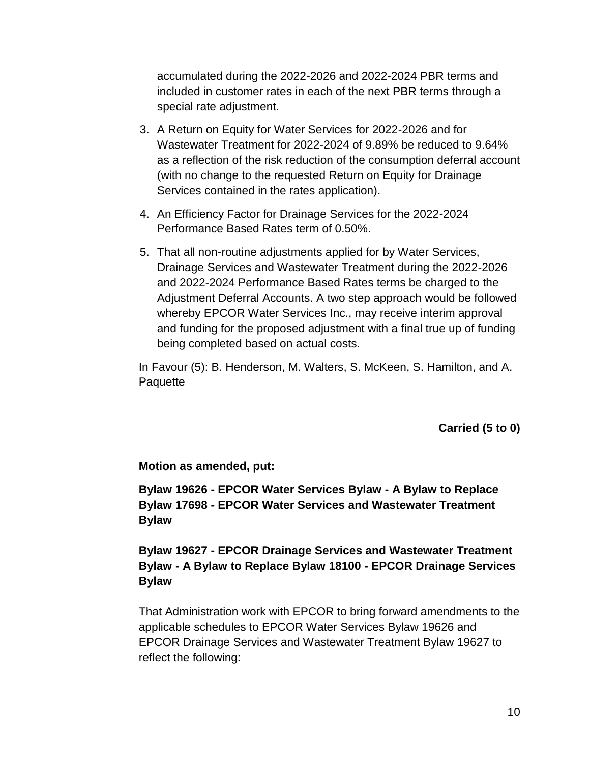accumulated during the 2022-2026 and 2022-2024 PBR terms and included in customer rates in each of the next PBR terms through a special rate adjustment.

- 3. A Return on Equity for Water Services for 2022-2026 and for Wastewater Treatment for 2022-2024 of 9.89% be reduced to 9.64% as a reflection of the risk reduction of the consumption deferral account (with no change to the requested Return on Equity for Drainage Services contained in the rates application).
- 4. An Efficiency Factor for Drainage Services for the 2022-2024 Performance Based Rates term of 0.50%.
- 5. That all non-routine adjustments applied for by Water Services, Drainage Services and Wastewater Treatment during the 2022-2026 and 2022-2024 Performance Based Rates terms be charged to the Adjustment Deferral Accounts. A two step approach would be followed whereby EPCOR Water Services Inc., may receive interim approval and funding for the proposed adjustment with a final true up of funding being completed based on actual costs.

In Favour (5): B. Henderson, M. Walters, S. McKeen, S. Hamilton, and A. **Paquette** 

**Carried (5 to 0)**

**Motion as amended, put:**

**Bylaw 19626 - EPCOR Water Services Bylaw - A Bylaw to Replace Bylaw 17698 - EPCOR Water Services and Wastewater Treatment Bylaw**

**Bylaw 19627 - EPCOR Drainage Services and Wastewater Treatment Bylaw - A Bylaw to Replace Bylaw 18100 - EPCOR Drainage Services Bylaw**

That Administration work with EPCOR to bring forward amendments to the applicable schedules to EPCOR Water Services Bylaw 19626 and EPCOR Drainage Services and Wastewater Treatment Bylaw 19627 to reflect the following: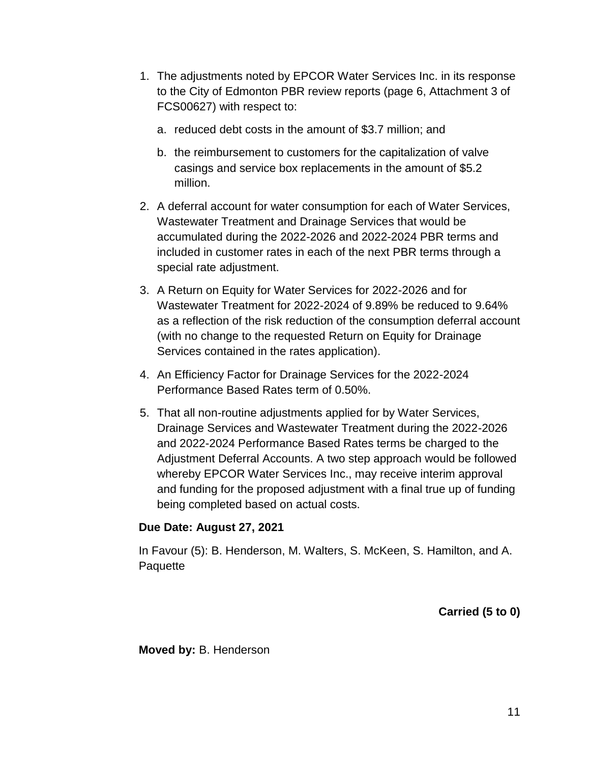- 1. The adjustments noted by EPCOR Water Services Inc. in its response to the City of Edmonton PBR review reports (page 6, Attachment 3 of FCS00627) with respect to:
	- a. reduced debt costs in the amount of \$3.7 million; and
	- b. the reimbursement to customers for the capitalization of valve casings and service box replacements in the amount of \$5.2 million.
- 2. A deferral account for water consumption for each of Water Services, Wastewater Treatment and Drainage Services that would be accumulated during the 2022-2026 and 2022-2024 PBR terms and included in customer rates in each of the next PBR terms through a special rate adjustment.
- 3. A Return on Equity for Water Services for 2022-2026 and for Wastewater Treatment for 2022-2024 of 9.89% be reduced to 9.64% as a reflection of the risk reduction of the consumption deferral account (with no change to the requested Return on Equity for Drainage Services contained in the rates application).
- 4. An Efficiency Factor for Drainage Services for the 2022-2024 Performance Based Rates term of 0.50%.
- 5. That all non-routine adjustments applied for by Water Services, Drainage Services and Wastewater Treatment during the 2022-2026 and 2022-2024 Performance Based Rates terms be charged to the Adjustment Deferral Accounts. A two step approach would be followed whereby EPCOR Water Services Inc., may receive interim approval and funding for the proposed adjustment with a final true up of funding being completed based on actual costs.

### **Due Date: August 27, 2021**

In Favour (5): B. Henderson, M. Walters, S. McKeen, S. Hamilton, and A. Paquette

**Carried (5 to 0)**

**Moved by:** B. Henderson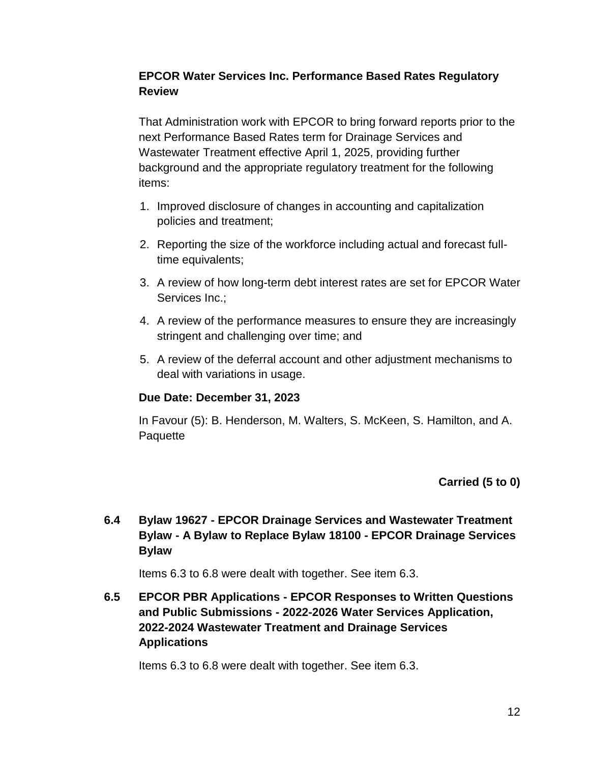## **EPCOR Water Services Inc. Performance Based Rates Regulatory Review**

That Administration work with EPCOR to bring forward reports prior to the next Performance Based Rates term for Drainage Services and Wastewater Treatment effective April 1, 2025, providing further background and the appropriate regulatory treatment for the following items:

- 1. Improved disclosure of changes in accounting and capitalization policies and treatment;
- 2. Reporting the size of the workforce including actual and forecast fulltime equivalents;
- 3. A review of how long-term debt interest rates are set for EPCOR Water Services Inc.;
- 4. A review of the performance measures to ensure they are increasingly stringent and challenging over time; and
- 5. A review of the deferral account and other adjustment mechanisms to deal with variations in usage.

### **Due Date: December 31, 2023**

In Favour (5): B. Henderson, M. Walters, S. McKeen, S. Hamilton, and A. **Paquette** 

### **Carried (5 to 0)**

**6.4 Bylaw 19627 - EPCOR Drainage Services and Wastewater Treatment Bylaw - A Bylaw to Replace Bylaw 18100 - EPCOR Drainage Services Bylaw**

Items 6.3 to 6.8 were dealt with together. See item 6.3.

**6.5 EPCOR PBR Applications - EPCOR Responses to Written Questions and Public Submissions - 2022-2026 Water Services Application, 2022-2024 Wastewater Treatment and Drainage Services Applications**

Items 6.3 to 6.8 were dealt with together. See item 6.3.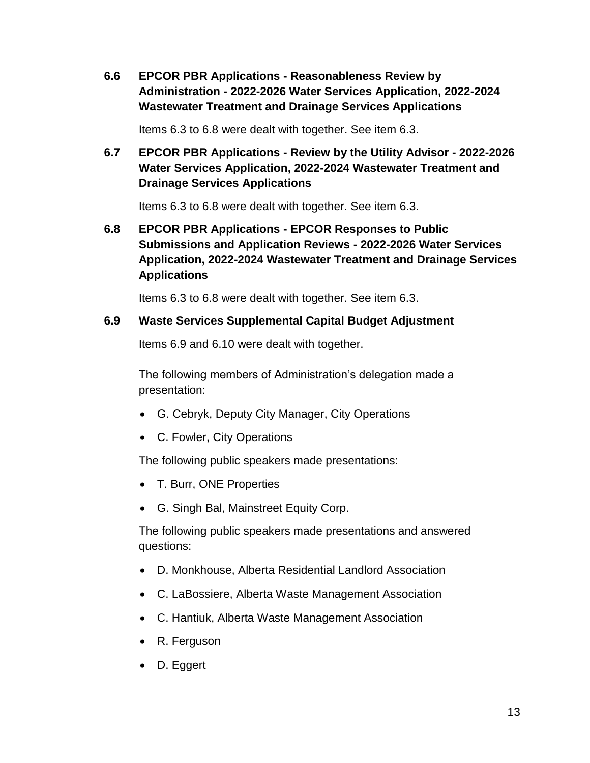**6.6 EPCOR PBR Applications - Reasonableness Review by Administration - 2022-2026 Water Services Application, 2022-2024 Wastewater Treatment and Drainage Services Applications**

Items 6.3 to 6.8 were dealt with together. See item 6.3.

**6.7 EPCOR PBR Applications - Review by the Utility Advisor - 2022-2026 Water Services Application, 2022-2024 Wastewater Treatment and Drainage Services Applications**

Items 6.3 to 6.8 were dealt with together. See item 6.3.

**6.8 EPCOR PBR Applications - EPCOR Responses to Public Submissions and Application Reviews - 2022-2026 Water Services Application, 2022-2024 Wastewater Treatment and Drainage Services Applications**

Items 6.3 to 6.8 were dealt with together. See item 6.3.

#### **6.9 Waste Services Supplemental Capital Budget Adjustment**

Items 6.9 and 6.10 were dealt with together.

The following members of Administration's delegation made a presentation:

- G. Cebryk, Deputy City Manager, City Operations
- C. Fowler, City Operations

The following public speakers made presentations:

- T. Burr, ONE Properties
- G. Singh Bal, Mainstreet Equity Corp.

The following public speakers made presentations and answered questions:

- D. Monkhouse, Alberta Residential Landlord Association
- C. LaBossiere, Alberta Waste Management Association
- C. Hantiuk, Alberta Waste Management Association
- R. Ferguson
- D. Eggert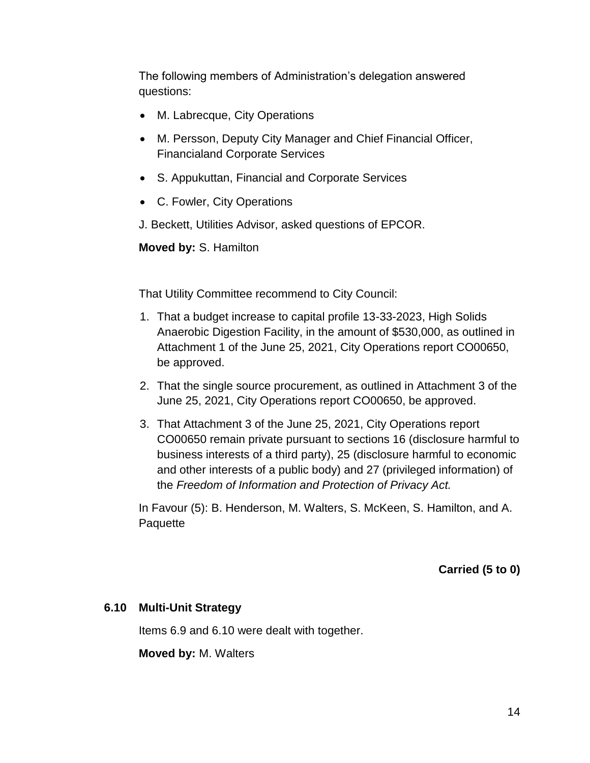The following members of Administration's delegation answered questions:

- M. Labrecque, City Operations
- M. Persson, Deputy City Manager and Chief Financial Officer, Financialand Corporate Services
- S. Appukuttan, Financial and Corporate Services
- C. Fowler, City Operations
- J. Beckett, Utilities Advisor, asked questions of EPCOR.

**Moved by:** S. Hamilton

That Utility Committee recommend to City Council:

- 1. That a budget increase to capital profile 13-33-2023, High Solids Anaerobic Digestion Facility, in the amount of \$530,000, as outlined in Attachment 1 of the June 25, 2021, City Operations report CO00650, be approved.
- 2. That the single source procurement, as outlined in Attachment 3 of the June 25, 2021, City Operations report CO00650, be approved.
- 3. That Attachment 3 of the June 25, 2021, City Operations report CO00650 remain private pursuant to sections 16 (disclosure harmful to business interests of a third party), 25 (disclosure harmful to economic and other interests of a public body) and 27 (privileged information) of the *Freedom of Information and Protection of Privacy Act.*

In Favour (5): B. Henderson, M. Walters, S. McKeen, S. Hamilton, and A. **Paquette** 

**Carried (5 to 0)**

### **6.10 Multi-Unit Strategy**

Items 6.9 and 6.10 were dealt with together.

**Moved by:** M. Walters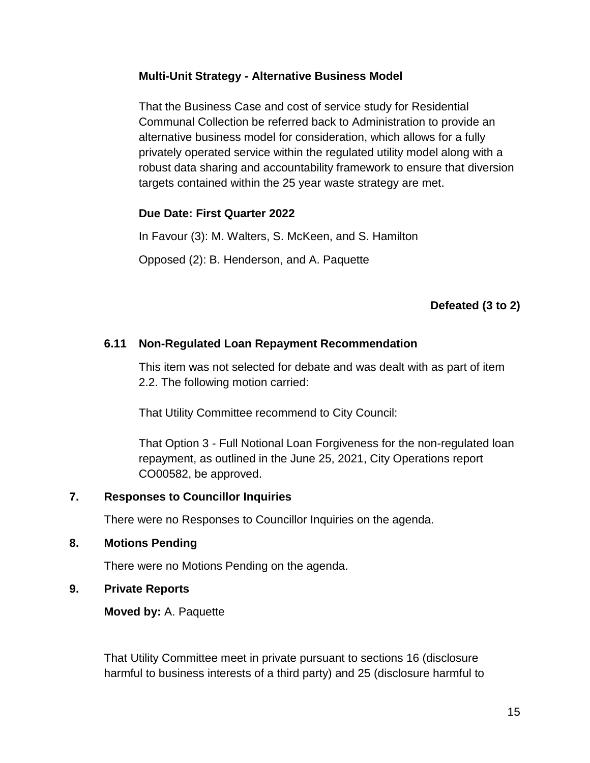### **Multi-Unit Strategy - Alternative Business Model**

That the Business Case and cost of service study for Residential Communal Collection be referred back to Administration to provide an alternative business model for consideration, which allows for a fully privately operated service within the regulated utility model along with a robust data sharing and accountability framework to ensure that diversion targets contained within the 25 year waste strategy are met.

#### **Due Date: First Quarter 2022**

In Favour (3): M. Walters, S. McKeen, and S. Hamilton

Opposed (2): B. Henderson, and A. Paquette

### **Defeated (3 to 2)**

#### **6.11 Non-Regulated Loan Repayment Recommendation**

This item was not selected for debate and was dealt with as part of item 2.2. The following motion carried:

That Utility Committee recommend to City Council:

That Option 3 - Full Notional Loan Forgiveness for the non-regulated loan repayment, as outlined in the June 25, 2021, City Operations report CO00582, be approved.

#### **7. Responses to Councillor Inquiries**

There were no Responses to Councillor Inquiries on the agenda.

#### **8. Motions Pending**

There were no Motions Pending on the agenda.

#### **9. Private Reports**

**Moved by:** A. Paquette

That Utility Committee meet in private pursuant to sections 16 (disclosure harmful to business interests of a third party) and 25 (disclosure harmful to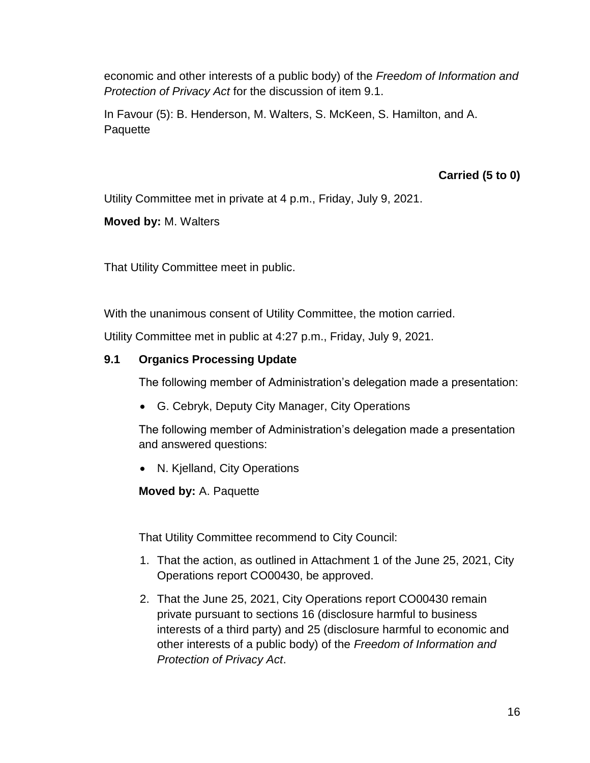economic and other interests of a public body) of the *Freedom of Information and Protection of Privacy Act* for the discussion of item 9.1.

In Favour (5): B. Henderson, M. Walters, S. McKeen, S. Hamilton, and A. **Paquette** 

## **Carried (5 to 0)**

Utility Committee met in private at 4 p.m., Friday, July 9, 2021.

**Moved by:** M. Walters

That Utility Committee meet in public.

With the unanimous consent of Utility Committee, the motion carried.

Utility Committee met in public at 4:27 p.m., Friday, July 9, 2021.

# **9.1 Organics Processing Update**

The following member of Administration's delegation made a presentation:

G. Cebryk, Deputy City Manager, City Operations

The following member of Administration's delegation made a presentation and answered questions:

N. Kjelland, City Operations

**Moved by:** A. Paquette

That Utility Committee recommend to City Council:

- 1. That the action, as outlined in Attachment 1 of the June 25, 2021, City Operations report CO00430, be approved.
- 2. That the June 25, 2021, City Operations report CO00430 remain private pursuant to sections 16 (disclosure harmful to business interests of a third party) and 25 (disclosure harmful to economic and other interests of a public body) of the *Freedom of Information and Protection of Privacy Act*.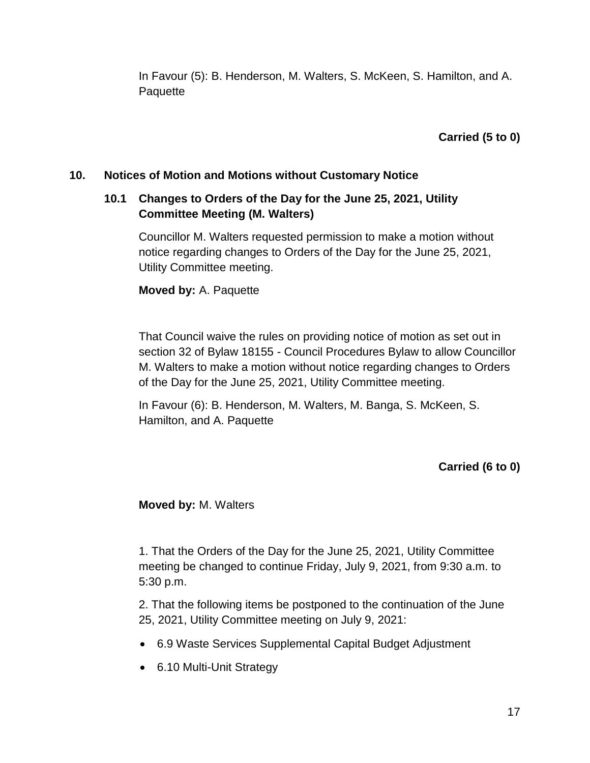In Favour (5): B. Henderson, M. Walters, S. McKeen, S. Hamilton, and A. **Paquette** 

**Carried (5 to 0)**

### **10. Notices of Motion and Motions without Customary Notice**

### **10.1 Changes to Orders of the Day for the June 25, 2021, Utility Committee Meeting (M. Walters)**

Councillor M. Walters requested permission to make a motion without notice regarding changes to Orders of the Day for the June 25, 2021, Utility Committee meeting.

#### **Moved by:** A. Paquette

That Council waive the rules on providing notice of motion as set out in section 32 of Bylaw 18155 - Council Procedures Bylaw to allow Councillor M. Walters to make a motion without notice regarding changes to Orders of the Day for the June 25, 2021, Utility Committee meeting.

In Favour (6): B. Henderson, M. Walters, M. Banga, S. McKeen, S. Hamilton, and A. Paquette

**Carried (6 to 0)**

**Moved by:** M. Walters

1. That the Orders of the Day for the June 25, 2021, Utility Committee meeting be changed to continue Friday, July 9, 2021, from 9:30 a.m. to 5:30 p.m.

2. That the following items be postponed to the continuation of the June 25, 2021, Utility Committee meeting on July 9, 2021:

- 6.9 Waste Services Supplemental Capital Budget Adjustment
- 6.10 Multi-Unit Strategy